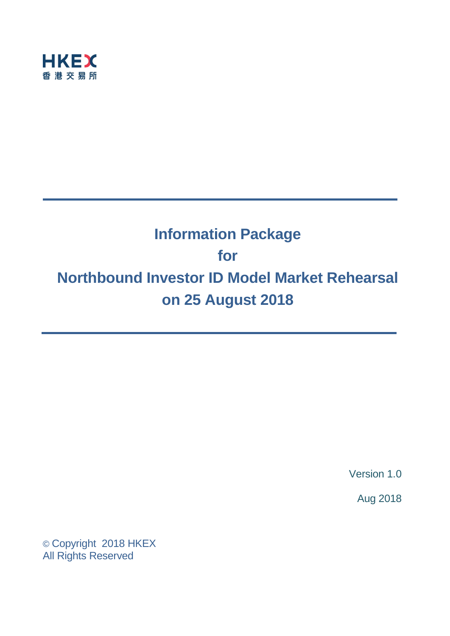

# **Information Package for Northbound Investor ID Model Market Rehearsal on 25 August 2018**

Version 1.0

Aug 2018

© Copyright 2018 HKEX All Rights Reserved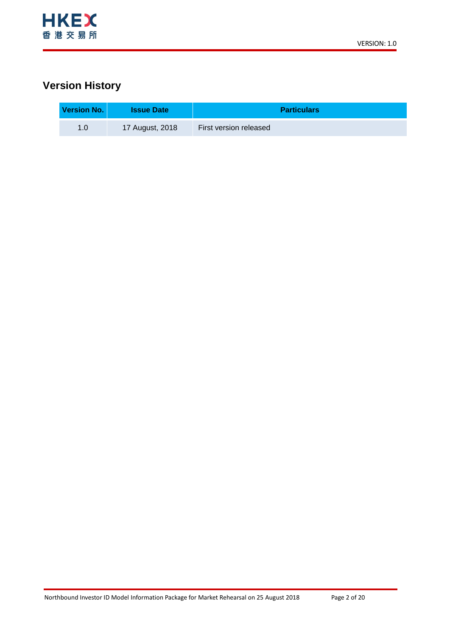

## **Version History**

| Version No. | <b>Issue Date</b> | <b>Particulars</b>     |
|-------------|-------------------|------------------------|
| 1.0         | 17 August, 2018   | First version released |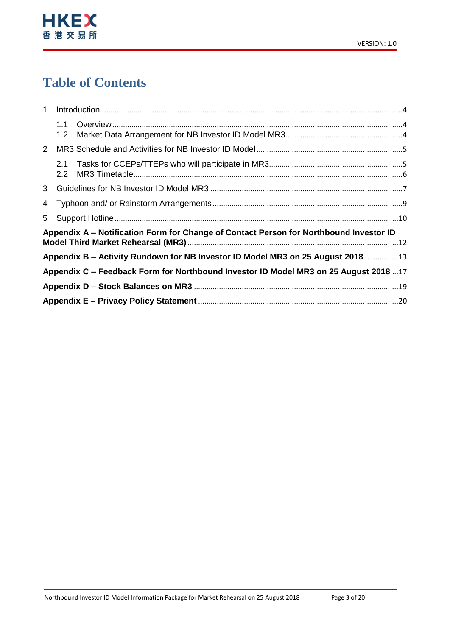

# **Table of Contents**

| $\mathbf{1}$   |                         |                                                                                        |  |
|----------------|-------------------------|----------------------------------------------------------------------------------------|--|
|                | 1.1<br>1.2              |                                                                                        |  |
| $2^{\circ}$    |                         |                                                                                        |  |
|                | 2.1<br>2.2 <sub>2</sub> |                                                                                        |  |
|                |                         |                                                                                        |  |
| 4              |                         |                                                                                        |  |
| 5 <sup>1</sup> |                         |                                                                                        |  |
|                |                         | Appendix A – Notification Form for Change of Contact Person for Northbound Investor ID |  |
|                |                         | Appendix B – Activity Rundown for NB Investor ID Model MR3 on 25 August 2018 13        |  |
|                |                         | Appendix C - Feedback Form for Northbound Investor ID Model MR3 on 25 August 2018 17   |  |
|                |                         |                                                                                        |  |
|                |                         |                                                                                        |  |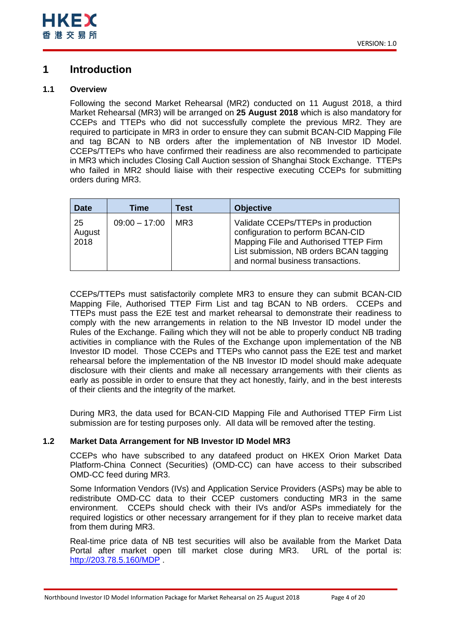## <span id="page-3-0"></span>**1 Introduction**

## <span id="page-3-1"></span>**1.1 Overview**

Following the second Market Rehearsal (MR2) conducted on 11 August 2018, a third Market Rehearsal (MR3) will be arranged on **25 August 2018** which is also mandatory for CCEPs and TTEPs who did not successfully complete the previous MR2. They are required to participate in MR3 in order to ensure they can submit BCAN-CID Mapping File and tag BCAN to NB orders after the implementation of NB Investor ID Model. CCEPs/TTEPs who have confirmed their readiness are also recommended to participate in MR3 which includes Closing Call Auction session of Shanghai Stock Exchange. TTEPs who failed in MR2 should liaise with their respective executing CCEPs for submitting orders during MR3.

| <b>Date</b>          | Time            | Test | <b>Objective</b>                                                                                                                                                                                 |
|----------------------|-----------------|------|--------------------------------------------------------------------------------------------------------------------------------------------------------------------------------------------------|
| 25<br>August<br>2018 | $09:00 - 17:00$ | MR3  | Validate CCEPs/TTEPs in production<br>configuration to perform BCAN-CID<br>Mapping File and Authorised TTEP Firm<br>List submission, NB orders BCAN tagging<br>and normal business transactions. |

CCEPs/TTEPs must satisfactorily complete MR3 to ensure they can submit BCAN-CID Mapping File, Authorised TTEP Firm List and tag BCAN to NB orders. CCEPs and TTEPs must pass the E2E test and market rehearsal to demonstrate their readiness to comply with the new arrangements in relation to the NB Investor ID model under the Rules of the Exchange. Failing which they will not be able to properly conduct NB trading activities in compliance with the Rules of the Exchange upon implementation of the NB Investor ID model. Those CCEPs and TTEPs who cannot pass the E2E test and market rehearsal before the implementation of the NB Investor ID model should make adequate disclosure with their clients and make all necessary arrangements with their clients as early as possible in order to ensure that they act honestly, fairly, and in the best interests of their clients and the integrity of the market.

During MR3, the data used for BCAN-CID Mapping File and Authorised TTEP Firm List submission are for testing purposes only. All data will be removed after the testing.

## <span id="page-3-2"></span>**1.2 Market Data Arrangement for NB Investor ID Model MR3**

CCEPs who have subscribed to any datafeed product on HKEX Orion Market Data Platform-China Connect (Securities) (OMD-CC) can have access to their subscribed OMD-CC feed during MR3.

Some Information Vendors (IVs) and Application Service Providers (ASPs) may be able to redistribute OMD-CC data to their CCEP customers conducting MR3 in the same environment. CCEPs should check with their IVs and/or ASPs immediately for the required logistics or other necessary arrangement for if they plan to receive market data from them during MR3.

Real-time price data of NB test securities will also be available from the Market Data Portal after market open till market close during MR3. URL of the portal is: <http://203.78.5.160/MDP> .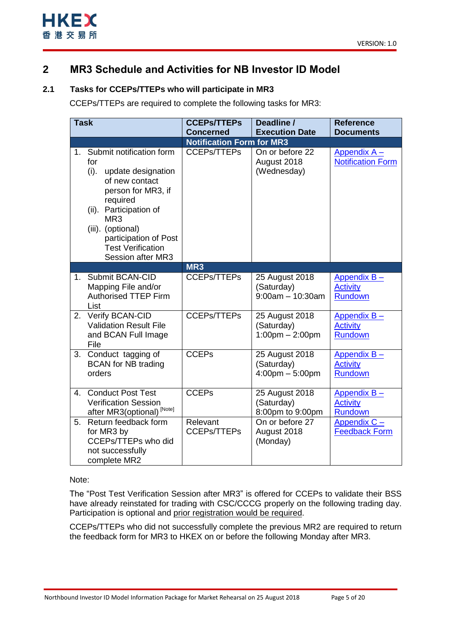

## <span id="page-4-0"></span>**2 MR3 Schedule and Activities for NB Investor ID Model**

## <span id="page-4-1"></span>**2.1 Tasks for CCEPs/TTEPs who will participate in MR3**

CCEPs/TTEPs are required to complete the following tasks for MR3:

| <b>Task</b>    |                                                                                                                                                                                                                                                                  | <b>CCEPs/TTEPs</b>                                     | Deadline /                                                        | <b>Reference</b>                                    |
|----------------|------------------------------------------------------------------------------------------------------------------------------------------------------------------------------------------------------------------------------------------------------------------|--------------------------------------------------------|-------------------------------------------------------------------|-----------------------------------------------------|
|                |                                                                                                                                                                                                                                                                  | <b>Concerned</b>                                       | <b>Execution Date</b>                                             | <b>Documents</b>                                    |
| $1_{\cdot}$    | Submit notification form<br>for<br>$(i)$ .<br>update designation<br>of new contact<br>person for MR3, if<br>required<br>(ii). Participation of<br>MR <sub>3</sub><br>(iii). (optional)<br>participation of Post<br><b>Test Verification</b><br>Session after MR3 | <b>Notification Form for MR3</b><br><b>CCEPs/TTEPs</b> | On or before 22<br>August 2018<br>(Wednesday)                     | Appendix $A -$<br><b>Notification Form</b>          |
|                |                                                                                                                                                                                                                                                                  | MR <sub>3</sub>                                        |                                                                   |                                                     |
| 1 <sup>1</sup> | Submit BCAN-CID<br>Mapping File and/or<br><b>Authorised TTEP Firm</b><br>List                                                                                                                                                                                    | <b>CCEPs/TTEPs</b>                                     | 25 August 2018<br>(Saturday)<br>$9:00am - 10:30am$                | Appendix $B -$<br><b>Activity</b><br><b>Rundown</b> |
| 2.             | Verify BCAN-CID<br><b>Validation Result File</b><br>and BCAN Full Image<br>File                                                                                                                                                                                  | <b>CCEPs/TTEPs</b>                                     | 25 August 2018<br>(Saturday)<br>$1:00$ pm $- 2:00$ pm             | Appendix $B -$<br><b>Activity</b><br><b>Rundown</b> |
| 3.             | Conduct tagging of<br><b>BCAN</b> for NB trading<br>orders                                                                                                                                                                                                       | <b>CCEPs</b>                                           | 25 August 2018<br>(Saturday)<br>$4:00 \text{pm} - 5:00 \text{pm}$ | Appendix B-<br><b>Activity</b><br><b>Rundown</b>    |
| 4.             | <b>Conduct Post Test</b><br><b>Verification Session</b><br>after MR3(optional) <sup>[Note]</sup>                                                                                                                                                                 | <b>CCEPs</b>                                           | 25 August 2018<br>(Saturday)<br>8:00pm to 9:00pm                  | Appendix $B -$<br><b>Activity</b><br>Rundown        |
| 5.             | Return feedback form<br>for MR3 by<br>CCEPs/TTEPs who did<br>not successfully<br>complete MR2                                                                                                                                                                    | Relevant<br><b>CCEPs/TTEPs</b>                         | On or before 27<br>August 2018<br>(Monday)                        | Appendix C-<br><b>Feedback Form</b>                 |

### Note:

The "Post Test Verification Session after MR3" is offered for CCEPs to validate their BSS have already reinstated for trading with CSC/CCCG properly on the following trading day. Participation is optional and prior registration would be required.

CCEPs/TTEPs who did not successfully complete the previous MR2 are required to return the feedback form for MR3 to HKEX on or before the following Monday after MR3.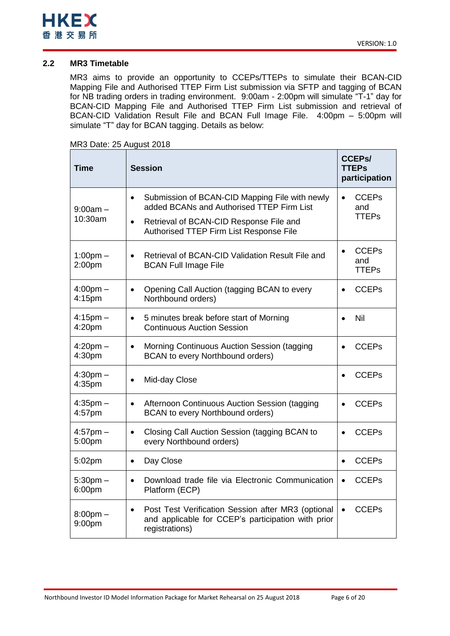

## <span id="page-5-0"></span>**2.2 MR3 Timetable**

MR3 aims to provide an opportunity to CCEPs/TTEPs to simulate their BCAN-CID Mapping File and Authorised TTEP Firm List submission via SFTP and tagging of BCAN for NB trading orders in trading environment. 9:00am - 2:00pm will simulate "T-1" day for BCAN-CID Mapping File and Authorised TTEP Firm List submission and retrieval of BCAN-CID Validation Result File and BCAN Full Image File. 4:00pm – 5:00pm will simulate "T" day for BCAN tagging. Details as below:

| MR3 Date: 25 August 2018 |  |
|--------------------------|--|
|--------------------------|--|

| <b>Time</b>              | <b>Session</b>                                                                                                                          | <b>CCEPS/</b><br><b>TTEPs</b><br>participation   |
|--------------------------|-----------------------------------------------------------------------------------------------------------------------------------------|--------------------------------------------------|
| $9:00$ am $-$<br>10:30am | Submission of BCAN-CID Mapping File with newly<br>$\bullet$<br>added BCANs and Authorised TTEP Firm List                                | <b>CCEPs</b><br>and<br><b>TTEPs</b>              |
|                          | Retrieval of BCAN-CID Response File and<br>$\bullet$<br>Authorised TTEP Firm List Response File                                         |                                                  |
| $1:00$ pm $-$<br>2:00pm  | Retrieval of BCAN-CID Validation Result File and<br>$\bullet$<br><b>BCAN Full Image File</b>                                            | <b>CCEPs</b><br>$\bullet$<br>and<br><b>TTEPs</b> |
| $4:00pm -$<br>4:15pm     | Opening Call Auction (tagging BCAN to every<br>$\bullet$<br>Northbound orders)                                                          | <b>CCEPs</b><br>$\bullet$                        |
| $4:15$ pm $-$<br>4:20pm  | 5 minutes break before start of Morning<br>$\bullet$<br><b>Continuous Auction Session</b>                                               | Nil                                              |
| $4:20$ pm $-$<br>4:30pm  | Morning Continuous Auction Session (tagging<br>$\bullet$<br>BCAN to every Northbound orders)                                            | <b>CCEPs</b>                                     |
| $4:30pm -$<br>4:35pm     | Mid-day Close<br>$\bullet$                                                                                                              | <b>CCEPs</b>                                     |
| $4:35$ pm $-$<br>4:57pm  | Afternoon Continuous Auction Session (tagging<br>$\bullet$<br>BCAN to every Northbound orders)                                          | <b>CCEPs</b>                                     |
| $4:57$ pm $-$<br>5:00pm  | Closing Call Auction Session (tagging BCAN to<br>$\bullet$<br>every Northbound orders)                                                  | <b>CCEPs</b><br>$\bullet$                        |
| 5:02pm                   | Day Close<br>$\bullet$                                                                                                                  | <b>CCEPs</b><br>$\bullet$                        |
| $5:30$ pm $-$<br>6:00pm  | Download trade file via Electronic Communication<br>$\bullet$<br>Platform (ECP)                                                         | <b>CCEPs</b>                                     |
| $8:00$ pm $-$<br>9:00pm  | Post Test Verification Session after MR3 (optional<br>$\bullet$<br>and applicable for CCEP's participation with prior<br>registrations) | <b>CCEPs</b><br>$\bullet$                        |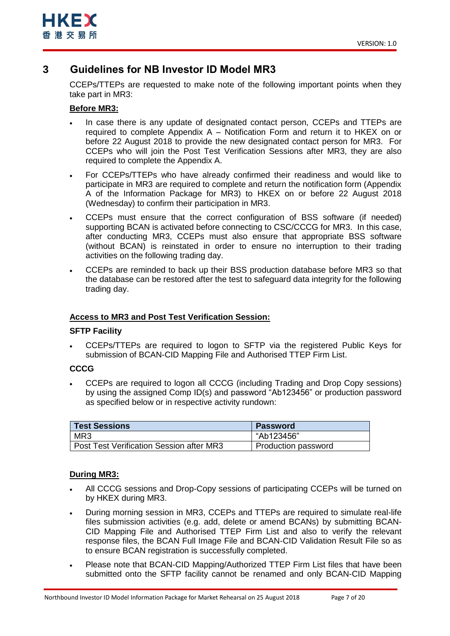

## <span id="page-6-0"></span>**3 Guidelines for NB Investor ID Model MR3**

CCEPs/TTEPs are requested to make note of the following important points when they take part in MR3:

## **Before MR3:**

- In case there is any update of designated contact person, CCEPs and TTEPs are required to complete Appendix A – Notification Form and return it to HKEX on or before 22 August 2018 to provide the new designated contact person for MR3. For CCEPs who will join the Post Test Verification Sessions after MR3, they are also required to complete the Appendix A.
- For CCEPs/TTEPs who have already confirmed their readiness and would like to participate in MR3 are required to complete and return the notification form (Appendix A of the Information Package for MR3) to HKEX on or before 22 August 2018 (Wednesday) to confirm their participation in MR3.
- CCEPs must ensure that the correct configuration of BSS software (if needed) supporting BCAN is activated before connecting to CSC/CCCG for MR3. In this case, after conducting MR3, CCEPs must also ensure that appropriate BSS software (without BCAN) is reinstated in order to ensure no interruption to their trading activities on the following trading day.
- CCEPs are reminded to back up their BSS production database before MR3 so that the database can be restored after the test to safeguard data integrity for the following trading day.

## **Access to MR3 and Post Test Verification Session:**

### **SFTP Facility**

 CCEPs/TTEPs are required to logon to SFTP via the registered Public Keys for submission of BCAN-CID Mapping File and Authorised TTEP Firm List.

## **CCCG**

 CCEPs are required to logon all CCCG (including Trading and Drop Copy sessions) by using the assigned Comp ID(s) and password "Ab123456" or production password as specified below or in respective activity rundown:

| <b>Test Sessions</b>                            | <b>Password</b>     |
|-------------------------------------------------|---------------------|
| MR <sub>3</sub>                                 | "Ab123456"          |
| <b>Post Test Verification Session after MR3</b> | Production password |

## **During MR3:**

- All CCCG sessions and Drop-Copy sessions of participating CCEPs will be turned on by HKEX during MR3.
- During morning session in MR3, CCEPs and TTEPs are required to simulate real-life files submission activities (e.g. add, delete or amend BCANs) by submitting BCAN-CID Mapping File and Authorised TTEP Firm List and also to verify the relevant response files, the BCAN Full Image File and BCAN-CID Validation Result File so as to ensure BCAN registration is successfully completed.
- Please note that BCAN-CID Mapping/Authorized TTEP Firm List files that have been submitted onto the SFTP facility cannot be renamed and only BCAN-CID Mapping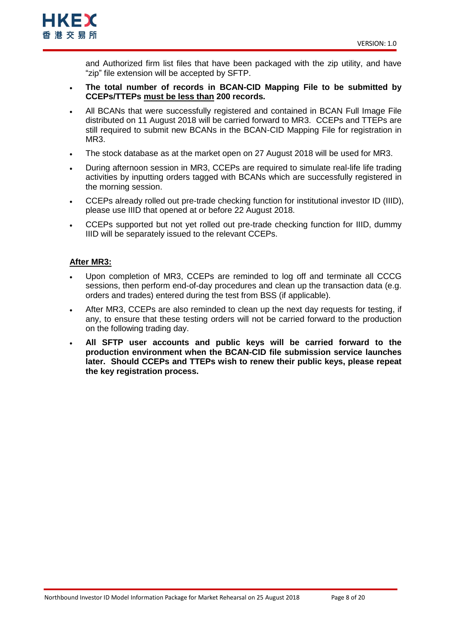

and Authorized firm list files that have been packaged with the zip utility, and have "zip" file extension will be accepted by SFTP.

- **The total number of records in BCAN-CID Mapping File to be submitted by CCEPs/TTEPs must be less than 200 records.**
- All BCANs that were successfully registered and contained in BCAN Full Image File distributed on 11 August 2018 will be carried forward to MR3. CCEPs and TTEPs are still required to submit new BCANs in the BCAN-CID Mapping File for registration in MR<sub>3</sub>.
- The stock database as at the market open on 27 August 2018 will be used for MR3.
- During afternoon session in MR3, CCEPs are required to simulate real-life life trading activities by inputting orders tagged with BCANs which are successfully registered in the morning session.
- CCEPs already rolled out pre-trade checking function for institutional investor ID (IIID), please use IIID that opened at or before 22 August 2018.
- CCEPs supported but not yet rolled out pre-trade checking function for IIID, dummy IIID will be separately issued to the relevant CCEPs.

## **After MR3:**

- Upon completion of MR3, CCEPs are reminded to log off and terminate all CCCG sessions, then perform end-of-day procedures and clean up the transaction data (e.g. orders and trades) entered during the test from BSS (if applicable).
- After MR3, CCEPs are also reminded to clean up the next day requests for testing, if any, to ensure that these testing orders will not be carried forward to the production on the following trading day.
- **All SFTP user accounts and public keys will be carried forward to the production environment when the BCAN-CID file submission service launches later. Should CCEPs and TTEPs wish to renew their public keys, please repeat the key registration process.**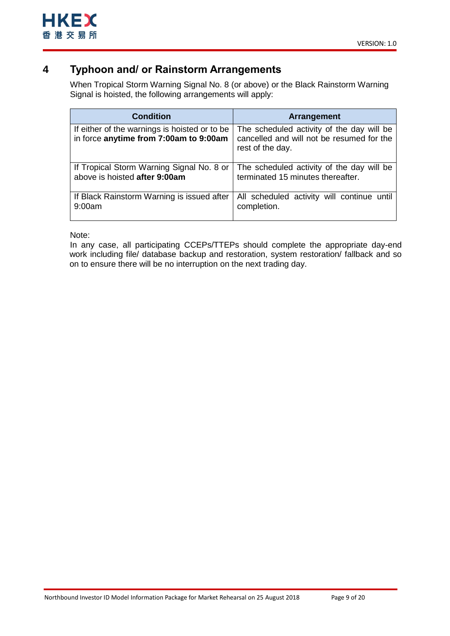## <span id="page-8-0"></span>**4 Typhoon and/ or Rainstorm Arrangements**

When Tropical Storm Warning Signal No. 8 (or above) or the Black Rainstorm Warning Signal is hoisted, the following arrangements will apply:

| <b>Condition</b>                                                                        | Arrangement                                                                                                |
|-----------------------------------------------------------------------------------------|------------------------------------------------------------------------------------------------------------|
| If either of the warnings is hoisted or to be<br>in force anytime from 7:00am to 9:00am | The scheduled activity of the day will be<br>cancelled and will not be resumed for the<br>rest of the day. |
| If Tropical Storm Warning Signal No. 8 or                                               | The scheduled activity of the day will be                                                                  |
| above is hoisted after 9:00am                                                           | terminated 15 minutes thereafter.                                                                          |
| If Black Rainstorm Warning is issued after                                              | All scheduled activity will continue until                                                                 |
| 9:00am                                                                                  | completion.                                                                                                |

Note:

In any case, all participating CCEPs/TTEPs should complete the appropriate day-end work including file/ database backup and restoration, system restoration/ fallback and so on to ensure there will be no interruption on the next trading day.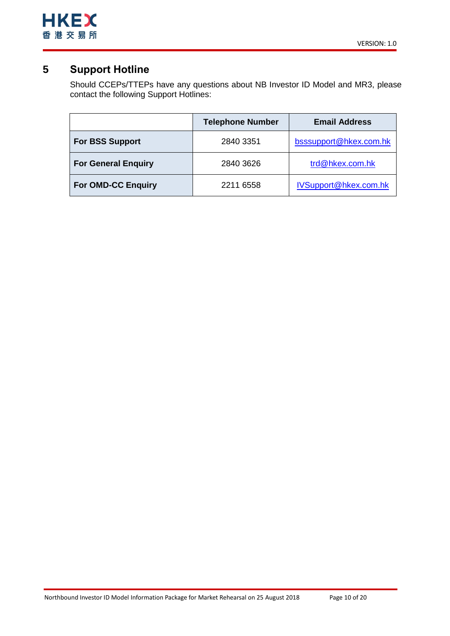

## <span id="page-9-0"></span>**5 Support Hotline**

Should CCEPs/TTEPs have any questions about NB Investor ID Model and MR3, please contact the following Support Hotlines:

|                            | <b>Telephone Number</b> | <b>Email Address</b>   |
|----------------------------|-------------------------|------------------------|
| <b>For BSS Support</b>     | 2840 3351               | bsssupport@hkex.com.hk |
| <b>For General Enquiry</b> | 2840 3626               | trd@hkex.com.hk        |
| <b>For OMD-CC Enquiry</b>  | 2211 6558               | IVSupport@hkex.com.hk  |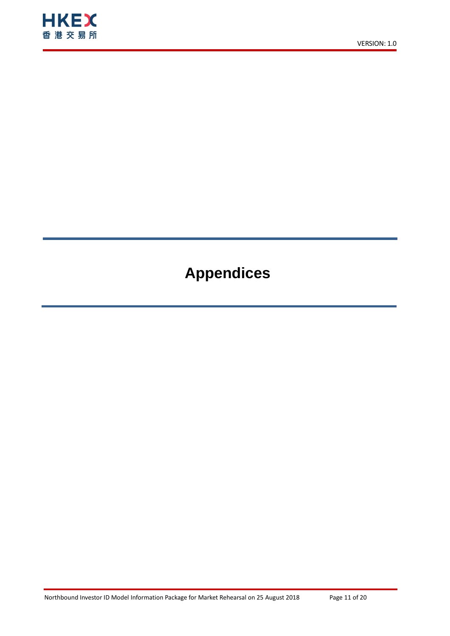

# **Appendices**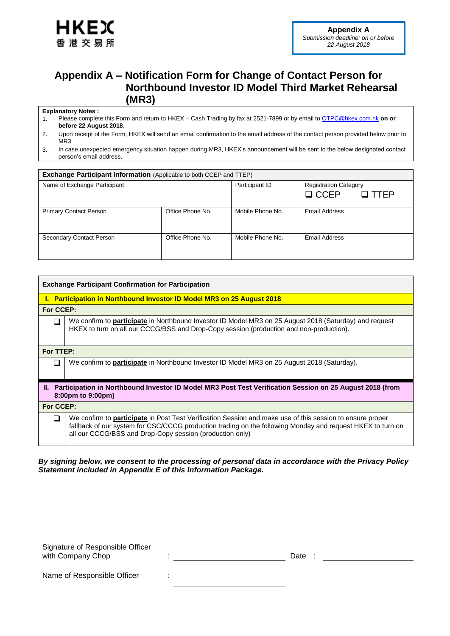

## <span id="page-11-0"></span>**Appendix A – Notification Form for Change of Contact Person for Northbound Investor ID Model Third Market Rehearsal (MR3)**

### **Explanatory Notes :**

- 1. Please complete this Form and return to HKEX Cash Trading by fax at 2521-7899 or by email to [OTPC@hkex.com.hk](mailto:OTPC@hkex.com.hk) **on or before 22 August 2018**.
- 2. Upon receipt of the Form, HKEX will send an email confirmation to the email address of the contact person provided below prior to MR3.
- 3. In case unexpected emergency situation happen during MR3, HKEX's announcement will be sent to the below designated contact person's email address.

| <b>Exchange Participant Information</b> (Applicable to both CCEP and TTEP) |                  |                  |                              |  |
|----------------------------------------------------------------------------|------------------|------------------|------------------------------|--|
| Name of Exchange Participant                                               |                  | Participant ID   | <b>Registration Category</b> |  |
|                                                                            |                  |                  | $\Box$ CCEP<br>$\Box$ TTFP   |  |
| <b>Primary Contact Person</b>                                              | Office Phone No. | Mobile Phone No. | Email Address                |  |
| Secondary Contact Person                                                   | Office Phone No. | Mobile Phone No. | Email Address                |  |

|                                                                                                                                   | <b>Exchange Participant Confirmation for Participation</b>                                                                                                                                                                                                                                 |  |  |
|-----------------------------------------------------------------------------------------------------------------------------------|--------------------------------------------------------------------------------------------------------------------------------------------------------------------------------------------------------------------------------------------------------------------------------------------|--|--|
|                                                                                                                                   | <b>I. Participation in Northbound Investor ID Model MR3 on 25 August 2018</b>                                                                                                                                                                                                              |  |  |
| For CCEP:                                                                                                                         |                                                                                                                                                                                                                                                                                            |  |  |
| H                                                                                                                                 | We confirm to <b>participate</b> in Northbound Investor ID Model MR3 on 25 August 2018 (Saturday) and request<br>HKEX to turn on all our CCCG/BSS and Drop-Copy session (production and non-production).                                                                                   |  |  |
| For TTEP:                                                                                                                         |                                                                                                                                                                                                                                                                                            |  |  |
|                                                                                                                                   | We confirm to <b>participate</b> in Northbound Investor ID Model MR3 on 25 August 2018 (Saturday).                                                                                                                                                                                         |  |  |
| II. Participation in Northbound Investor ID Model MR3 Post Test Verification Session on 25 August 2018 (from<br>8:00pm to 9:00pm) |                                                                                                                                                                                                                                                                                            |  |  |
| For CCEP:                                                                                                                         |                                                                                                                                                                                                                                                                                            |  |  |
| ⊓                                                                                                                                 | We confirm to <b>participate</b> in Post Test Verification Session and make use of this session to ensure proper<br>fallback of our system for CSC/CCCG production trading on the following Monday and request HKEX to turn on<br>all our CCCG/BSS and Drop-Copy session (production only) |  |  |

### *By signing below, we consent to the processing of personal data in accordance with the Privacy Policy Statement included in Appendix E of this Information Package.*

Signature of Responsible Officer with Company Chop : The set of the set of the contract of the contract of the contract of the contract of the contract of the contract of the contract of the contract of the contract of the contract of the contract of the Name of Responsible Officer :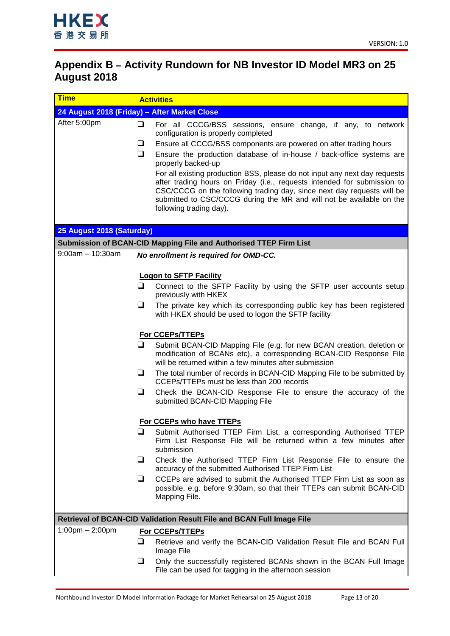

÷.

## <span id="page-12-0"></span>**Appendix B – Activity Rundown for NB Investor ID Model MR3 on 25 August 2018**

| <u>Time</u>                       | <b>Activities</b>                                                                                                                                                                                                                                                                                                                                                                                                                                                                                                                                                                                                                      |  |
|-----------------------------------|----------------------------------------------------------------------------------------------------------------------------------------------------------------------------------------------------------------------------------------------------------------------------------------------------------------------------------------------------------------------------------------------------------------------------------------------------------------------------------------------------------------------------------------------------------------------------------------------------------------------------------------|--|
|                                   | 24 August 2018 (Friday) - After Market Close                                                                                                                                                                                                                                                                                                                                                                                                                                                                                                                                                                                           |  |
| After 5:00pm                      | $\Box$<br>For all CCCG/BSS sessions, ensure change, if any, to network<br>configuration is properly completed<br>Ensure all CCCG/BSS components are powered on after trading hours<br>❏<br>$\Box$<br>Ensure the production database of in-house / back-office systems are<br>properly backed-up<br>For all existing production BSS, please do not input any next day requests<br>after trading hours on Friday (i.e., requests intended for submission to<br>CSC/CCCG on the following trading day, since next day requests will be<br>submitted to CSC/CCCG during the MR and will not be available on the<br>following trading day). |  |
| 25 August 2018 (Saturday)         |                                                                                                                                                                                                                                                                                                                                                                                                                                                                                                                                                                                                                                        |  |
|                                   | Submission of BCAN-CID Mapping File and Authorised TTEP Firm List                                                                                                                                                                                                                                                                                                                                                                                                                                                                                                                                                                      |  |
| $9:00am - 10:30am$                | No enrollment is required for OMD-CC.                                                                                                                                                                                                                                                                                                                                                                                                                                                                                                                                                                                                  |  |
|                                   |                                                                                                                                                                                                                                                                                                                                                                                                                                                                                                                                                                                                                                        |  |
|                                   | <b>Logon to SFTP Facility</b>                                                                                                                                                                                                                                                                                                                                                                                                                                                                                                                                                                                                          |  |
|                                   | $\Box$<br>Connect to the SFTP Facility by using the SFTP user accounts setup<br>previously with HKEX                                                                                                                                                                                                                                                                                                                                                                                                                                                                                                                                   |  |
|                                   | The private key which its corresponding public key has been registered<br>u.                                                                                                                                                                                                                                                                                                                                                                                                                                                                                                                                                           |  |
|                                   | with HKEX should be used to logon the SFTP facility                                                                                                                                                                                                                                                                                                                                                                                                                                                                                                                                                                                    |  |
|                                   | For CCEPs/TTEPs                                                                                                                                                                                                                                                                                                                                                                                                                                                                                                                                                                                                                        |  |
|                                   | $\Box$<br>Submit BCAN-CID Mapping File (e.g. for new BCAN creation, deletion or                                                                                                                                                                                                                                                                                                                                                                                                                                                                                                                                                        |  |
|                                   | modification of BCANs etc), a corresponding BCAN-CID Response File<br>will be returned within a few minutes after submission                                                                                                                                                                                                                                                                                                                                                                                                                                                                                                           |  |
|                                   | The total number of records in BCAN-CID Mapping File to be submitted by<br>❏<br>CCEPs/TTEPs must be less than 200 records                                                                                                                                                                                                                                                                                                                                                                                                                                                                                                              |  |
|                                   | ❏<br>Check the BCAN-CID Response File to ensure the accuracy of the<br>submitted BCAN-CID Mapping File                                                                                                                                                                                                                                                                                                                                                                                                                                                                                                                                 |  |
|                                   | For CCEPs who have TTEPs                                                                                                                                                                                                                                                                                                                                                                                                                                                                                                                                                                                                               |  |
|                                   | ⊔<br>Submit Authorised TTEP Firm List, a corresponding Authorised TTEP<br>Firm List Response File will be returned within a few minutes after<br>submission                                                                                                                                                                                                                                                                                                                                                                                                                                                                            |  |
|                                   | Check the Authorised TTEP Firm List Response File to ensure the<br>⊔<br>accuracy of the submitted Authorised TTEP Firm List                                                                                                                                                                                                                                                                                                                                                                                                                                                                                                            |  |
|                                   | CCEPs are advised to submit the Authorised TTEP Firm List as soon as<br>⊔<br>possible, e.g. before 9:30am, so that their TTEPs can submit BCAN-CID<br>Mapping File.                                                                                                                                                                                                                                                                                                                                                                                                                                                                    |  |
|                                   | Retrieval of BCAN-CID Validation Result File and BCAN Full Image File                                                                                                                                                                                                                                                                                                                                                                                                                                                                                                                                                                  |  |
| $1:00 \text{pm} - 2:00 \text{pm}$ | <b>For CCEPs/TTEPs</b>                                                                                                                                                                                                                                                                                                                                                                                                                                                                                                                                                                                                                 |  |
|                                   | Retrieve and verify the BCAN-CID Validation Result File and BCAN Full<br>⊔<br>Image File                                                                                                                                                                                                                                                                                                                                                                                                                                                                                                                                               |  |
|                                   | Only the successfully registered BCANs shown in the BCAN Full Image<br>⊔<br>File can be used for tagging in the afternoon session                                                                                                                                                                                                                                                                                                                                                                                                                                                                                                      |  |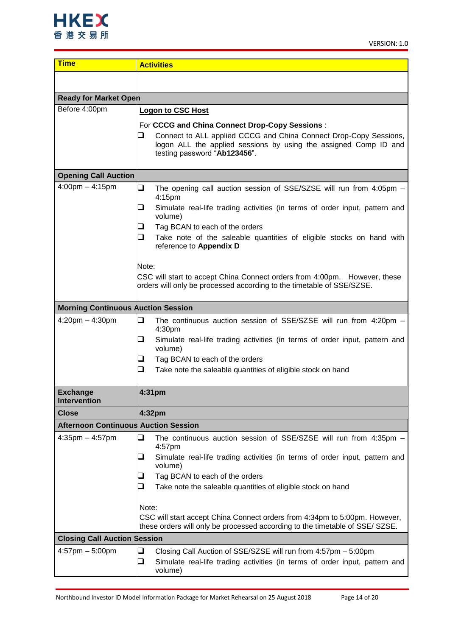

| <b>Time</b>                                 | <b>Activities</b>                                                                                                                                                                                                            |
|---------------------------------------------|------------------------------------------------------------------------------------------------------------------------------------------------------------------------------------------------------------------------------|
|                                             |                                                                                                                                                                                                                              |
| <b>Ready for Market Open</b>                |                                                                                                                                                                                                                              |
| Before 4:00pm                               | <b>Logon to CSC Host</b>                                                                                                                                                                                                     |
|                                             | For CCCG and China Connect Drop-Copy Sessions:<br>Connect to ALL applied CCCG and China Connect Drop-Copy Sessions,<br>⊔<br>logon ALL the applied sessions by using the assigned Comp ID and<br>testing password "Ab123456". |
| <b>Opening Call Auction</b>                 |                                                                                                                                                                                                                              |
| $4:00 \text{pm} - 4:15 \text{pm}$           | ❏<br>The opening call auction session of SSE/SZSE will run from 4:05pm -<br>4:15pm                                                                                                                                           |
|                                             | ❏<br>Simulate real-life trading activities (in terms of order input, pattern and<br>volume)                                                                                                                                  |
|                                             | Tag BCAN to each of the orders<br>u                                                                                                                                                                                          |
|                                             | ◻<br>Take note of the saleable quantities of eligible stocks on hand with<br>reference to Appendix D                                                                                                                         |
|                                             | Note:<br>CSC will start to accept China Connect orders from 4:00pm. However, these                                                                                                                                           |
|                                             | orders will only be processed according to the timetable of SSE/SZSE.                                                                                                                                                        |
| <b>Morning Continuous Auction Session</b>   |                                                                                                                                                                                                                              |
| $4:20$ pm $- 4:30$ pm                       | ❏<br>The continuous auction session of SSE/SZSE will run from 4:20pm -<br>4:30pm                                                                                                                                             |
|                                             | ❏<br>Simulate real-life trading activities (in terms of order input, pattern and<br>volume)                                                                                                                                  |
|                                             | ❏<br>Tag BCAN to each of the orders                                                                                                                                                                                          |
|                                             | ❏<br>Take note the saleable quantities of eligible stock on hand                                                                                                                                                             |
| <b>Exchange</b><br>Intervention             | 4:31pm                                                                                                                                                                                                                       |
| <b>Close</b>                                | 4:32 <sub>pm</sub>                                                                                                                                                                                                           |
| <b>Afternoon Continuous Auction Session</b> |                                                                                                                                                                                                                              |
| $4:35$ pm $-4:57$ pm                        | $\Box$<br>The continuous auction session of SSE/SZSE will run from 4:35pm -<br>4:57pm                                                                                                                                        |
|                                             | Simulate real-life trading activities (in terms of order input, pattern and<br>⊔<br>volume)                                                                                                                                  |
|                                             | Tag BCAN to each of the orders<br>⊔                                                                                                                                                                                          |
|                                             | ❏<br>Take note the saleable quantities of eligible stock on hand                                                                                                                                                             |
|                                             | Note:                                                                                                                                                                                                                        |
|                                             | CSC will start accept China Connect orders from 4:34pm to 5:00pm. However,<br>these orders will only be processed according to the timetable of SSE/ SZSE.                                                                   |
| <b>Closing Call Auction Session</b>         |                                                                                                                                                                                                                              |
| $4:57$ pm $-5:00$ pm                        | $\Box$<br>Closing Call Auction of SSE/SZSE will run from 4:57pm - 5:00pm<br>$\Box$<br>Simulate real-life trading activities (in terms of order input, pattern and<br>volume)                                                 |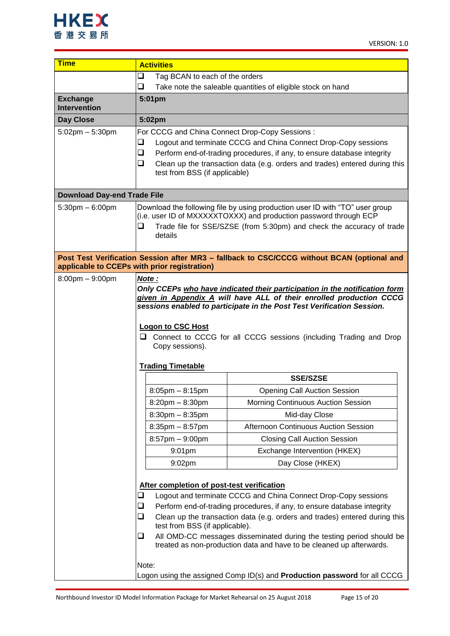

| <b>Time</b>                            | <b>Activities</b>                                                                                                                                                         |                                                                                                                                                   |  |
|----------------------------------------|---------------------------------------------------------------------------------------------------------------------------------------------------------------------------|---------------------------------------------------------------------------------------------------------------------------------------------------|--|
|                                        | $\Box$<br>Tag BCAN to each of the orders                                                                                                                                  |                                                                                                                                                   |  |
|                                        | $\Box$<br>Take note the saleable quantities of eligible stock on hand                                                                                                     |                                                                                                                                                   |  |
| <b>Exchange</b><br><b>Intervention</b> | 5:01pm                                                                                                                                                                    |                                                                                                                                                   |  |
| <b>Day Close</b>                       | 5:02pm                                                                                                                                                                    |                                                                                                                                                   |  |
| $5:02$ pm $-5:30$ pm                   | For CCCG and China Connect Drop-Copy Sessions:                                                                                                                            |                                                                                                                                                   |  |
|                                        | ❏                                                                                                                                                                         | Logout and terminate CCCG and China Connect Drop-Copy sessions                                                                                    |  |
|                                        | $\Box$<br>Perform end-of-trading procedures, if any, to ensure database integrity<br>$\Box$<br>Clean up the transaction data (e.g. orders and trades) entered during this |                                                                                                                                                   |  |
|                                        | test from BSS (if applicable)                                                                                                                                             |                                                                                                                                                   |  |
|                                        |                                                                                                                                                                           |                                                                                                                                                   |  |
| <b>Download Day-end Trade File</b>     |                                                                                                                                                                           |                                                                                                                                                   |  |
| $5:30$ pm $-6:00$ pm                   |                                                                                                                                                                           | Download the following file by using production user ID with "TO" user group                                                                      |  |
|                                        | $\Box$                                                                                                                                                                    | (i.e. user ID of MXXXXXTOXXX) and production password through ECP                                                                                 |  |
|                                        | details                                                                                                                                                                   | Trade file for SSE/SZSE (from 5:30pm) and check the accuracy of trade                                                                             |  |
|                                        |                                                                                                                                                                           |                                                                                                                                                   |  |
|                                        |                                                                                                                                                                           | Post Test Verification Session after MR3 - fallback to CSC/CCCG without BCAN (optional and                                                        |  |
|                                        | applicable to CCEPs with prior registration)                                                                                                                              |                                                                                                                                                   |  |
| $8:00 \text{pm} - 9:00 \text{pm}$      | Note:                                                                                                                                                                     |                                                                                                                                                   |  |
|                                        |                                                                                                                                                                           | Only CCEPs who have indicated their participation in the notification form<br>given in Appendix A will have ALL of their enrolled production CCCG |  |
|                                        |                                                                                                                                                                           | sessions enabled to participate in the Post Test Verification Session.                                                                            |  |
|                                        |                                                                                                                                                                           |                                                                                                                                                   |  |
|                                        | <b>Logon to CSC Host</b>                                                                                                                                                  | □ Connect to CCCG for all CCCG sessions (including Trading and Drop                                                                               |  |
|                                        | Copy sessions).                                                                                                                                                           |                                                                                                                                                   |  |
|                                        |                                                                                                                                                                           |                                                                                                                                                   |  |
|                                        | <b>Trading Timetable</b>                                                                                                                                                  |                                                                                                                                                   |  |
|                                        |                                                                                                                                                                           | <b>SSE/SZSE</b>                                                                                                                                   |  |
|                                        | $8:05$ pm $- 8:15$ pm                                                                                                                                                     | <b>Opening Call Auction Session</b>                                                                                                               |  |
|                                        | $8:20$ pm $- 8:30$ pm                                                                                                                                                     | Morning Continuous Auction Session                                                                                                                |  |
|                                        | $8:30$ pm $- 8:35$ pm                                                                                                                                                     | Mid-day Close                                                                                                                                     |  |
|                                        | $8:35$ pm $-8:57$ pm                                                                                                                                                      | Afternoon Continuous Auction Session                                                                                                              |  |
|                                        | $8:57$ pm $-9:00$ pm                                                                                                                                                      | <b>Closing Call Auction Session</b>                                                                                                               |  |
|                                        | 9:01pm                                                                                                                                                                    | Exchange Intervention (HKEX)                                                                                                                      |  |
|                                        | $9:02$ pm                                                                                                                                                                 | Day Close (HKEX)                                                                                                                                  |  |
|                                        |                                                                                                                                                                           |                                                                                                                                                   |  |
|                                        | After completion of post-test verification<br>$\Box$                                                                                                                      | Logout and terminate CCCG and China Connect Drop-Copy sessions                                                                                    |  |
|                                        | $\Box$                                                                                                                                                                    | Perform end-of-trading procedures, if any, to ensure database integrity                                                                           |  |
|                                        | $\Box$                                                                                                                                                                    | Clean up the transaction data (e.g. orders and trades) entered during this                                                                        |  |
|                                        | test from BSS (if applicable).                                                                                                                                            |                                                                                                                                                   |  |
|                                        | ❏                                                                                                                                                                         | All OMD-CC messages disseminated during the testing period should be<br>treated as non-production data and have to be cleaned up afterwards.      |  |
|                                        |                                                                                                                                                                           |                                                                                                                                                   |  |
|                                        | Note:                                                                                                                                                                     |                                                                                                                                                   |  |
|                                        |                                                                                                                                                                           | Logon using the assigned Comp ID(s) and Production password for all CCCG                                                                          |  |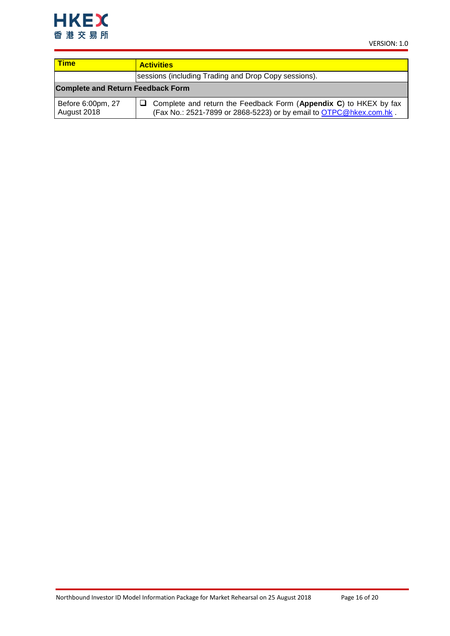

| <b>Time</b>                              | <b>Activities</b>                                                                                                                       |  |  |
|------------------------------------------|-----------------------------------------------------------------------------------------------------------------------------------------|--|--|
|                                          | sessions (including Trading and Drop Copy sessions).                                                                                    |  |  |
| <b>Complete and Return Feedback Form</b> |                                                                                                                                         |  |  |
| Before 6:00pm, 27<br>August 2018         | Complete and return the Feedback Form (Appendix C) to HKEX by fax<br>(Fax No.: 2521-7899 or 2868-5223) or by email to OTPC@hkex.com.hk. |  |  |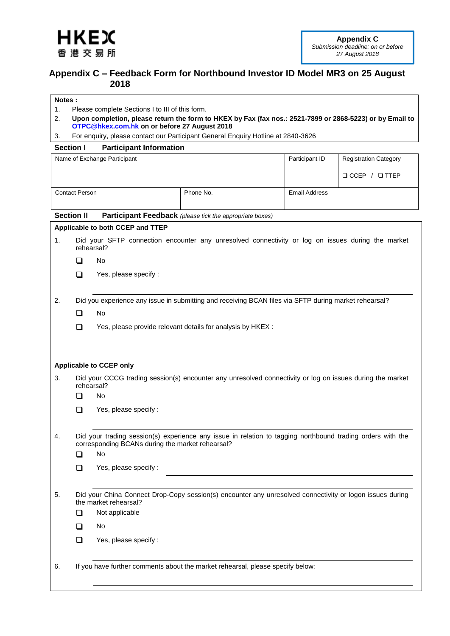<span id="page-16-1"></span>

## <span id="page-16-0"></span>**Appendix C – Feedback Form for Northbound Investor ID Model MR3 on 25 August 2018**

### **Notes :**

- 1. Please complete Sections I to III of this form.
- 2. **Upon completion, please return the form to HKEX by Fax (fax nos.: 2521-7899 or 2868-5223) or by Email to [OTPC@hkex.com.hk](mailto:OTPC@hkex.com.hk) on or before 27 August 2018**
- 3. For enquiry, please contact our Participant General Enquiry Hotline at 2840-3626

### **Section I Participant Information**

|                   |                       | Name of Exchange Participant                     |                                                                                                            | Participant ID       | <b>Registration Category</b> |
|-------------------|-----------------------|--------------------------------------------------|------------------------------------------------------------------------------------------------------------|----------------------|------------------------------|
|                   |                       |                                                  |                                                                                                            |                      | $\Box$ CCEP / $\Box$ TTEP    |
|                   |                       |                                                  |                                                                                                            |                      |                              |
|                   | <b>Contact Person</b> |                                                  | Phone No.                                                                                                  | <b>Email Address</b> |                              |
| <b>Section II</b> |                       |                                                  | Participant Feedback (please tick the appropriate boxes)                                                   |                      |                              |
|                   |                       | Applicable to both CCEP and TTEP                 |                                                                                                            |                      |                              |
| 1.                | rehearsal?            |                                                  | Did your SFTP connection encounter any unresolved connectivity or log on issues during the market          |                      |                              |
|                   | ◻                     | No                                               |                                                                                                            |                      |                              |
|                   | ◻                     | Yes, please specify :                            |                                                                                                            |                      |                              |
|                   |                       |                                                  |                                                                                                            |                      |                              |
| 2.                |                       |                                                  | Did you experience any issue in submitting and receiving BCAN files via SFTP during market rehearsal?      |                      |                              |
|                   | □                     | No.                                              |                                                                                                            |                      |                              |
|                   | ❏                     |                                                  | Yes, please provide relevant details for analysis by HKEX :                                                |                      |                              |
|                   |                       |                                                  |                                                                                                            |                      |                              |
|                   |                       |                                                  |                                                                                                            |                      |                              |
|                   |                       | <b>Applicable to CCEP only</b>                   |                                                                                                            |                      |                              |
| 3.                | rehearsal?            |                                                  | Did your CCCG trading session(s) encounter any unresolved connectivity or log on issues during the market  |                      |                              |
|                   | ❏                     | No                                               |                                                                                                            |                      |                              |
|                   | ◻                     | Yes, please specify :                            |                                                                                                            |                      |                              |
|                   |                       |                                                  |                                                                                                            |                      |                              |
| 4.                |                       | corresponding BCANs during the market rehearsal? | Did your trading session(s) experience any issue in relation to tagging northbound trading orders with the |                      |                              |
|                   | ◻                     | No                                               |                                                                                                            |                      |                              |
|                   | ❏                     | Yes, please specify :                            |                                                                                                            |                      |                              |
|                   |                       |                                                  |                                                                                                            |                      |                              |
| 5.                |                       | the market rehearsal?                            | Did your China Connect Drop-Copy session(s) encounter any unresolved connectivity or logon issues during   |                      |                              |
|                   | ❏                     | Not applicable                                   |                                                                                                            |                      |                              |
|                   | ❏                     | No                                               |                                                                                                            |                      |                              |
|                   | $\Box$                | Yes, please specify :                            |                                                                                                            |                      |                              |
|                   |                       |                                                  |                                                                                                            |                      |                              |
| 6.                |                       |                                                  | If you have further comments about the market rehearsal, please specify below:                             |                      |                              |
|                   |                       |                                                  |                                                                                                            |                      |                              |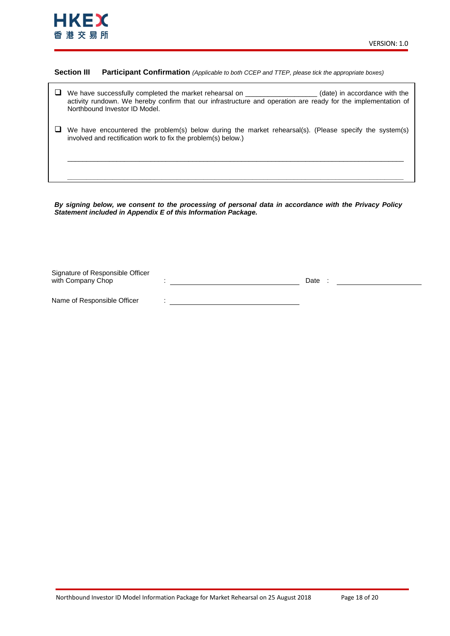

### **Section III Participant Confirmation** *(Applicable to both CCEP and TTEP, please tick the appropriate boxes)*

| $\Box$ We have successfully completed the market rehearsal on                                                                                  | (date) in accordance with the |
|------------------------------------------------------------------------------------------------------------------------------------------------|-------------------------------|
| activity rundown. We hereby confirm that our infrastructure and operation are ready for the implementation of<br>Northbound Investor ID Model. |                               |

 $\Box$  We have encountered the problem(s) below during the market rehearsal(s). (Please specify the system(s) involved and rectification work to fix the problem(s) below.)

\_\_\_\_\_\_\_\_\_\_\_\_\_\_\_\_\_\_\_\_\_\_\_\_\_\_\_\_\_\_\_\_\_\_\_\_\_\_\_\_\_\_\_\_\_\_\_\_\_\_\_\_\_\_\_\_\_\_\_\_\_\_\_\_\_\_\_\_\_\_\_\_\_\_\_\_\_\_\_\_\_\_\_\_\_\_\_\_\_

*\_\_\_\_\_\_\_\_\_\_\_\_\_\_\_\_\_\_\_\_\_\_\_\_\_\_\_\_\_\_\_\_\_\_\_\_\_\_\_\_\_\_\_\_\_\_\_\_\_\_\_\_\_\_\_\_\_\_\_\_\_\_\_\_\_\_\_\_\_\_\_\_\_\_\_\_\_\_\_\_\_\_\_\_\_\_\_\_\_*

*By signing below, we consent to the processing of personal data in accordance with the Privacy Policy Statement included in Appendix E of this Information Package.*

| Signature of Responsible Officer |      |  |
|----------------------------------|------|--|
| with Company Chop                | Date |  |
|                                  |      |  |
| Name of Responsible Officer      |      |  |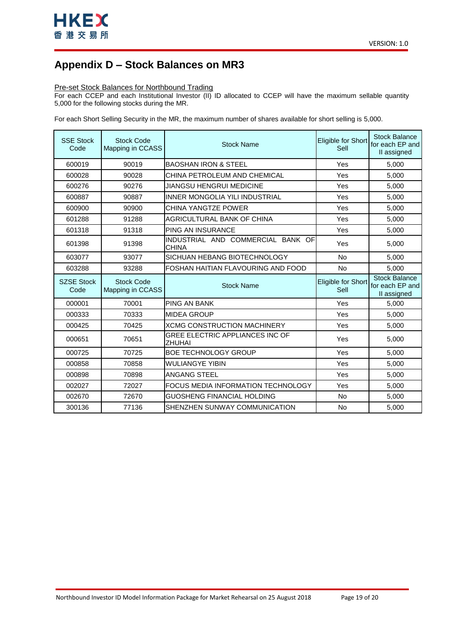

## <span id="page-18-0"></span>**Appendix D – Stock Balances on MR3**

### Pre-set Stock Balances for Northbound Trading

For each CCEP and each Institutional Investor (II) ID allocated to CCEP will have the maximum sellable quantity 5,000 for the following stocks during the MR.

For each Short Selling Security in the MR, the maximum number of shares available for short selling is 5,000.

| <b>SSE Stock</b><br>Code  | <b>Stock Code</b><br>Mapping in CCASS | <b>Stock Name</b>                                 | Eligible for Short<br>Sell | <b>Stock Balance</b><br>for each EP and<br>II assigned |
|---------------------------|---------------------------------------|---------------------------------------------------|----------------------------|--------------------------------------------------------|
| 600019                    | 90019                                 | <b>BAOSHAN IRON &amp; STEEL</b>                   | Yes                        | 5,000                                                  |
| 600028                    | 90028                                 | CHINA PETROLEUM AND CHEMICAL                      | Yes                        | 5.000                                                  |
| 600276                    | 90276                                 | JIANGSU HENGRUI MEDICINE                          | Yes                        | 5,000                                                  |
| 600887                    | 90887                                 | <b>INNER MONGOLIA YILI INDUSTRIAL</b>             | Yes                        | 5,000                                                  |
| 600900                    | 90900                                 | CHINA YANGTZE POWER                               | Yes                        | 5,000                                                  |
| 601288                    | 91288                                 | AGRICULTURAL BANK OF CHINA                        | Yes                        | 5,000                                                  |
| 601318                    | 91318                                 | PING AN INSURANCE                                 | Yes                        | 5,000                                                  |
| 601398                    | 91398                                 | INDUSTRIAL AND COMMERCIAL BANK OF<br><b>CHINA</b> | Yes                        | 5,000                                                  |
| 603077                    | 93077                                 | SICHUAN HEBANG BIOTECHNOLOGY                      | <b>No</b>                  | 5.000                                                  |
| 603288                    | 93288                                 | FOSHAN HAITIAN FLAVOURING AND FOOD                | <b>No</b>                  | 5,000                                                  |
|                           |                                       |                                                   |                            |                                                        |
| <b>SZSE Stock</b><br>Code | <b>Stock Code</b><br>Mapping in CCASS | <b>Stock Name</b>                                 | Eligible for Short<br>Sell | <b>Stock Balance</b><br>for each EP and<br>II assigned |
| 000001                    | 70001                                 | <b>PING AN BANK</b>                               | Yes                        | 5,000                                                  |
| 000333                    | 70333                                 | <b>MIDEA GROUP</b>                                | Yes                        | 5,000                                                  |
| 000425                    | 70425                                 | <b>XCMG CONSTRUCTION MACHINERY</b>                | Yes                        | 5,000                                                  |
| 000651                    | 70651                                 | GREE ELECTRIC APPLIANCES INC OF<br>ZHUHAI         | Yes                        | 5,000                                                  |
| 000725                    | 70725                                 | <b>BOE TECHNOLOGY GROUP</b>                       | Yes                        | 5,000                                                  |
| 000858                    | 70858                                 | <b>WULIANGYE YIBIN</b>                            | Yes                        | 5,000                                                  |
| 000898                    | 70898                                 | ANGANG STEEL                                      | Yes                        | 5,000                                                  |
| 002027                    | 72027                                 | FOCUS MEDIA INFORMATION TECHNOLOGY                | Yes                        | 5,000                                                  |
| 002670                    | 72670                                 | GUOSHENG FINANCIAL HOLDING                        | <b>No</b>                  | 5,000                                                  |